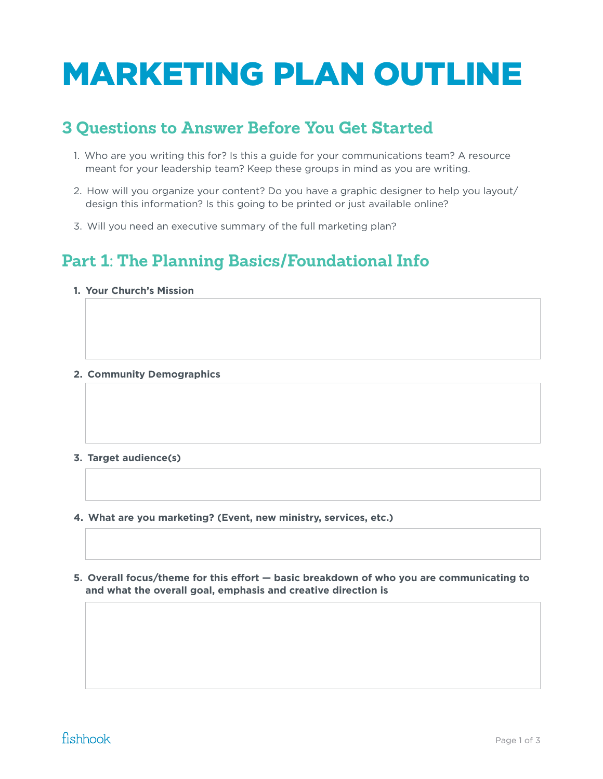# MARKETING PLAN OUTLINE

# **3 Questions to Answer Before You Get Started**

- 1. Who are you writing this for? Is this a guide for your communications team? A resource meant for your leadership team? Keep these groups in mind as you are writing.
- 2. How will you organize your content? Do you have a graphic designer to help you layout/ design this information? Is this going to be printed or just available online?
- 3. Will you need an executive summary of the full marketing plan?

# **Part 1: The Planning Basics/Foundational Info**

- **1. Your Church's Mission**
- **2. Community Demographics**
- **3. Target audience(s)**
- **4. What are you marketing? (Event, new ministry, services, etc.)**
- **5. Overall focus/theme for this effort basic breakdown of who you are communicating to and what the overall goal, emphasis and creative direction is**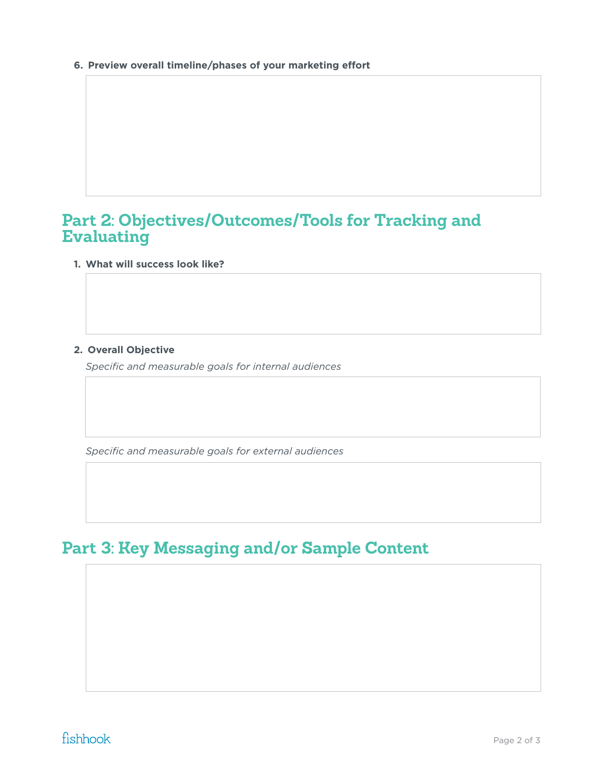**6. Preview overall timeline/phases of your marketing effort**

### **Part 2: Objectives/Outcomes/Tools for Tracking and Evaluating**

#### **1. What will success look like?**

#### **2. Overall Objective**

*Specific and measurable goals for internal audiences*

*Specific and measurable goals for external audiences* 

# **Part 3: Key Messaging and/or Sample Content**